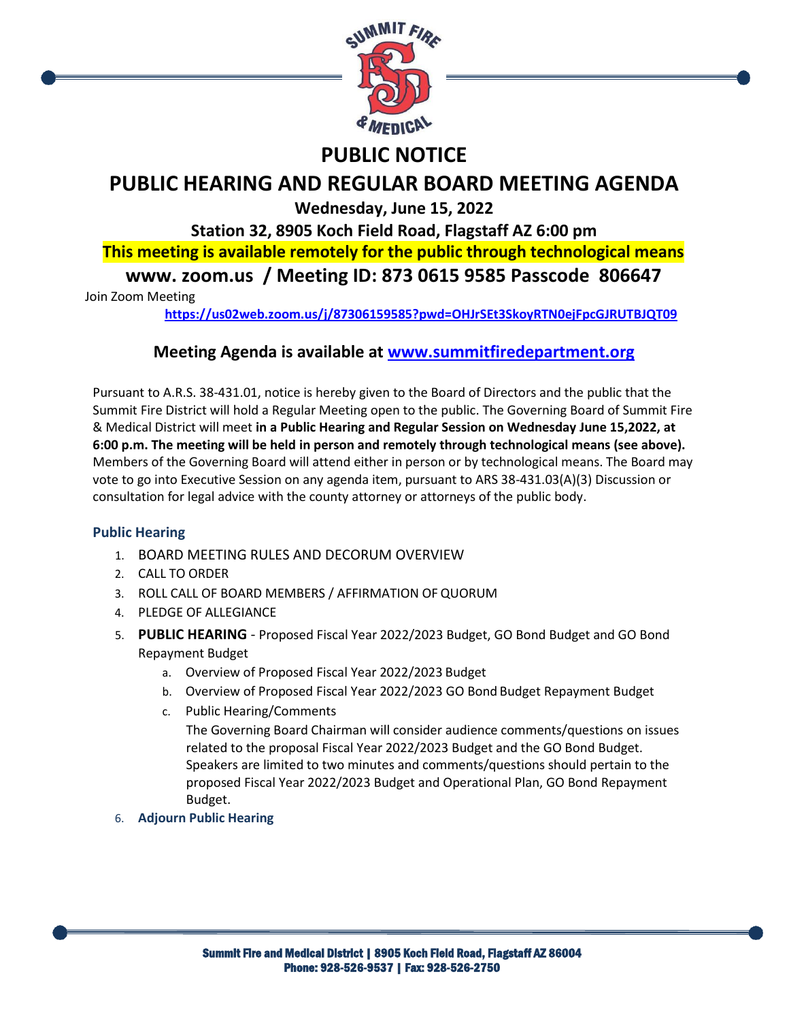

## **PUBLIC NOTICE**

# **PUBLIC HEARING AND REGULAR BOARD MEETING AGENDA**

**Wednesday, June 15, 2022**

**Station 32, 8905 Koch Field Road, Flagstaff AZ 6:00 pm**

**This meeting is available remotely for the public through technological means**

**www. zoom.us / Meeting ID: 873 0615 9585 Passcode 806647**

Join Zoom Meeting

**<https://us02web.zoom.us/j/87306159585?pwd=OHJrSEt3SkoyRTN0ejFpcGJRUTBJQT09>**

### **Meeting Agenda is available at [www.summitfiredepartment.org](http://www.summitfiredepartment.org/)**

Pursuant to A.R.S. 38-431.01, notice is hereby given to the Board of Directors and the public that the Summit Fire District will hold a Regular Meeting open to the public. The Governing Board of Summit Fire & Medical District will meet **in a Public Hearing and Regular Session on Wednesday June 15,2022, at 6:00 p.m. The meeting will be held in person and remotely through technological means (see above).** Members of the Governing Board will attend either in person or by technological means. The Board may vote to go into Executive Session on any agenda item, pursuant to ARS 38-431.03(A)(3) Discussion or consultation for legal advice with the county attorney or attorneys of the public body.

### **Public Hearing**

- 1. BOARD MEETING RULES AND DECORUM OVERVIEW
- 2. CALL TO ORDER
- 3. ROLL CALL OF BOARD MEMBERS / AFFIRMATION OF QUORUM
- 4. PLEDGE OF ALLEGIANCE
- 5. **PUBLIC HEARING**  Proposed Fiscal Year 2022/2023 Budget, GO Bond Budget and GO Bond Repayment Budget
	- a. Overview of Proposed Fiscal Year 2022/2023 Budget
	- b. Overview of Proposed Fiscal Year 2022/2023 GO Bond Budget Repayment Budget
	- c. Public Hearing/Comments

The Governing Board Chairman will consider audience comments/questions on issues related to the proposal Fiscal Year 2022/2023 Budget and the GO Bond Budget. Speakers are limited to two minutes and comments/questions should pertain to the proposed Fiscal Year 2022/2023 Budget and Operational Plan, GO Bond Repayment Budget.

6. **Adjourn Public Hearing**